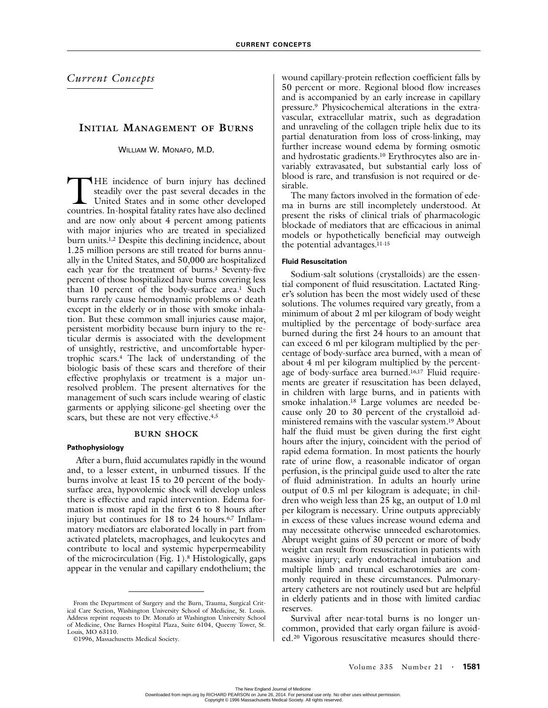# *Current Concepts*

# **INITIAL MANAGEMENT OF BURNS**

WILLIAM W. MONAFO, M.D.

HE incidence of burn injury has declined steadily over the past several decades in the United States and in some other developed HE incidence of burn injury has declined<br>steadily over the past several decades in the<br>United States and in some other developed<br>countries. In-hospital fatality rates have also declined and are now only about 4 percent among patients with major injuries who are treated in specialized burn units.1,2 Despite this declining incidence, about 1.25 million persons are still treated for burns annually in the United States, and 50,000 are hospitalized each year for the treatment of burns.3 Seventy-five percent of those hospitalized have burns covering less than 10 percent of the body-surface area.<sup>1</sup> Such burns rarely cause hemodynamic problems or death except in the elderly or in those with smoke inhalation. But these common small injuries cause major, persistent morbidity because burn injury to the reticular dermis is associated with the development of unsightly, restrictive, and uncomfortable hypertrophic scars.4 The lack of understanding of the biologic basis of these scars and therefore of their effective prophylaxis or treatment is a major unresolved problem. The present alternatives for the management of such scars include wearing of elastic garments or applying silicone-gel sheeting over the scars, but these are not very effective.<sup>4,5</sup>

#### **BURN SHOCK**

#### **Pathophysiology**

After a burn, fluid accumulates rapidly in the wound and, to a lesser extent, in unburned tissues. If the burns involve at least 15 to 20 percent of the bodysurface area, hypovolemic shock will develop unless there is effective and rapid intervention. Edema formation is most rapid in the first 6 to 8 hours after injury but continues for  $18$  to  $24$  hours.<sup>6,7</sup> Inflammatory mediators are elaborated locally in part from activated platelets, macrophages, and leukocytes and contribute to local and systemic hyperpermeability of the microcirculation (Fig. 1).8 Histologically, gaps appear in the venular and capillary endothelium; the wound capillary-protein reflection coefficient falls by 50 percent or more. Regional blood flow increases and is accompanied by an early increase in capillary pressure.9 Physicochemical alterations in the extravascular, extracellular matrix, such as degradation and unraveling of the collagen triple helix due to its partial denaturation from loss of cross-linking, may further increase wound edema by forming osmotic and hydrostatic gradients.10 Erythrocytes also are invariably extravasated, but substantial early loss of blood is rare, and transfusion is not required or desirable.

The many factors involved in the formation of edema in burns are still incompletely understood. At present the risks of clinical trials of pharmacologic blockade of mediators that are efficacious in animal models or hypothetically beneficial may outweigh the potential advantages.11-15

#### **Fluid Resuscitation**

Sodium-salt solutions (crystalloids) are the essential component of fluid resuscitation. Lactated Ringer's solution has been the most widely used of these solutions. The volumes required vary greatly, from a minimum of about 2 ml per kilogram of body weight multiplied by the percentage of body-surface area burned during the first 24 hours to an amount that can exceed 6 ml per kilogram multiplied by the percentage of body-surface area burned, with a mean of about 4 ml per kilogram multiplied by the percentage of body-surface area burned.16,17 Fluid requirements are greater if resuscitation has been delayed, in children with large burns, and in patients with smoke inhalation.18 Large volumes are needed because only 20 to 30 percent of the crystalloid administered remains with the vascular system.19 About half the fluid must be given during the first eight hours after the injury, coincident with the period of rapid edema formation. In most patients the hourly rate of urine flow, a reasonable indicator of organ perfusion, is the principal guide used to alter the rate of fluid administration. In adults an hourly urine output of 0.5 ml per kilogram is adequate; in children who weigh less than 25 kg, an output of 1.0 ml per kilogram is necessary. Urine outputs appreciably in excess of these values increase wound edema and may necessitate otherwise unneeded escharotomies. Abrupt weight gains of 30 percent or more of body weight can result from resuscitation in patients with massive injury; early endotracheal intubation and multiple limb and truncal escharotomies are commonly required in these circumstances. Pulmonaryartery catheters are not routinely used but are helpful in elderly patients and in those with limited cardiac reserves.

Survival after near-total burns is no longer uncommon, provided that early organ failure is avoided.20 Vigorous resuscitative measures should there-

From the Department of Surgery and the Burn, Trauma, Surgical Critical Care Section, Washington University School of Medicine, St. Louis. Address reprint requests to Dr. Monafo at Washington University School of Medicine, One Barnes Hospital Plaza, Suite 6104, Queeny Tower, St. Louis, MO 63110.

<sup>©1996,</sup> Massachusetts Medical Society.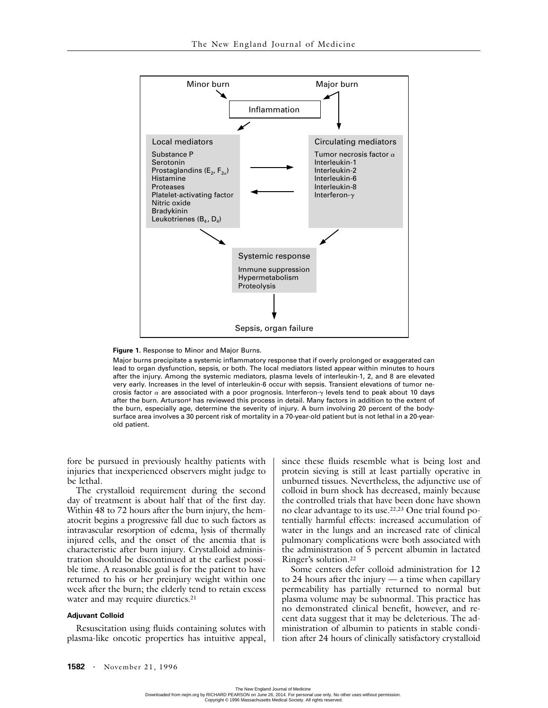

#### **Figure 1.** Response to Minor and Major Burns.

Major burns precipitate a systemic inflammatory response that if overly prolonged or exaggerated can lead to organ dysfunction, sepsis, or both. The local mediators listed appear within minutes to hours after the injury. Among the systemic mediators, plasma levels of interleukin-1, 2, and 8 are elevated very early. Increases in the level of interleukin-6 occur with sepsis. Transient elevations of tumor necrosis factor  $\alpha$  are associated with a poor prognosis. Interferon- $\gamma$  levels tend to peak about 10 days after the burn. Arturson<sup>8</sup> has reviewed this process in detail. Many factors in addition to the extent of the burn, especially age, determine the severity of injury. A burn involving 20 percent of the bodysurface area involves a 30 percent risk of mortality in a 70-year-old patient but is not lethal in a 20-yearold patient.

fore be pursued in previously healthy patients with injuries that inexperienced observers might judge to be lethal.

The crystalloid requirement during the second day of treatment is about half that of the first day. Within 48 to 72 hours after the burn injury, the hematocrit begins a progressive fall due to such factors as intravascular resorption of edema, lysis of thermally injured cells, and the onset of the anemia that is characteristic after burn injury. Crystalloid administration should be discontinued at the earliest possible time. A reasonable goal is for the patient to have returned to his or her preinjury weight within one week after the burn; the elderly tend to retain excess water and may require diuretics.<sup>21</sup>

### **Adjuvant Colloid**

Resuscitation using fluids containing solutes with plasma-like oncotic properties has intuitive appeal, since these fluids resemble what is being lost and protein sieving is still at least partially operative in unburned tissues. Nevertheless, the adjunctive use of colloid in burn shock has decreased, mainly because the controlled trials that have been done have shown no clear advantage to its use.22,23 One trial found potentially harmful effects: increased accumulation of water in the lungs and an increased rate of clinical pulmonary complications were both associated with the administration of 5 percent albumin in lactated Ringer's solution.22

Some centers defer colloid administration for 12 to 24 hours after the injury  $-$  a time when capillary permeability has partially returned to normal but plasma volume may be subnormal. This practice has no demonstrated clinical benefit, however, and recent data suggest that it may be deleterious. The administration of albumin to patients in stable condition after 24 hours of clinically satisfactory crystalloid

The New England Journal of Medicine<br>Downloaded from nejm.org by RICHARD PEARSON on June 26, 2014. For personal use only. No other uses without permission. Copyright © 1996 Massachusetts Medical Society. All rights reserved.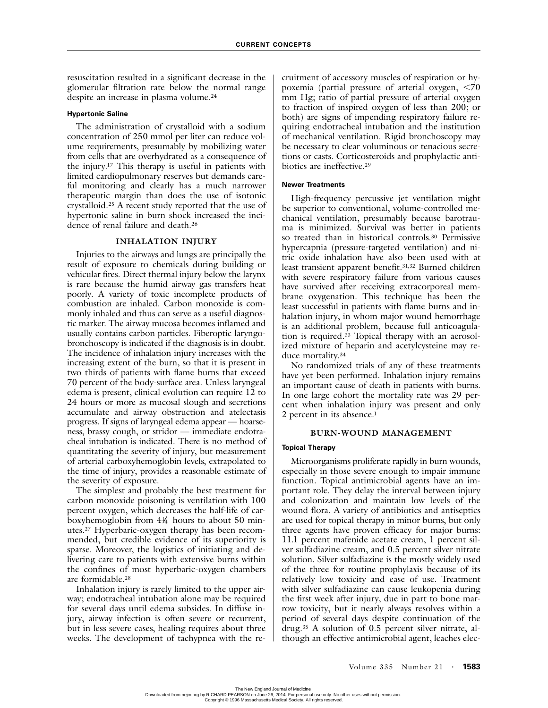resuscitation resulted in a significant decrease in the glomerular filtration rate below the normal range despite an increase in plasma volume.24

## **Hypertonic Saline**

The administration of crystalloid with a sodium concentration of 250 mmol per liter can reduce volume requirements, presumably by mobilizing water from cells that are overhydrated as a consequence of the injury.17 This therapy is useful in patients with limited cardiopulmonary reserves but demands careful monitoring and clearly has a much narrower therapeutic margin than does the use of isotonic crystalloid.25 A recent study reported that the use of hypertonic saline in burn shock increased the incidence of renal failure and death.26

## **INHALATION INJURY**

Injuries to the airways and lungs are principally the result of exposure to chemicals during building or vehicular fires. Direct thermal injury below the larynx is rare because the humid airway gas transfers heat poorly. A variety of toxic incomplete products of combustion are inhaled. Carbon monoxide is commonly inhaled and thus can serve as a useful diagnostic marker. The airway mucosa becomes inflamed and usually contains carbon particles. Fiberoptic laryngobronchoscopy is indicated if the diagnosis is in doubt. The incidence of inhalation injury increases with the increasing extent of the burn, so that it is present in two thirds of patients with flame burns that exceed 70 percent of the body-surface area. Unless laryngeal edema is present, clinical evolution can require 12 to 24 hours or more as mucosal slough and secretions accumulate and airway obstruction and atelectasis progress. If signs of laryngeal edema appear — hoarseness, brassy cough, or stridor — immediate endotracheal intubation is indicated. There is no method of quantitating the severity of injury, but measurement of arterial carboxyhemoglobin levels, extrapolated to the time of injury, provides a reasonable estimate of the severity of exposure.

The simplest and probably the best treatment for carbon monoxide poisoning is ventilation with 100 percent oxygen, which decreases the half-life of carboxyhemoglobin from 41⁄ 4 hours to about 50 minutes.27 Hyperbaric-oxygen therapy has been recommended, but credible evidence of its superiority is sparse. Moreover, the logistics of initiating and delivering care to patients with extensive burns within the confines of most hyperbaric-oxygen chambers are formidable.28

Inhalation injury is rarely limited to the upper airway; endotracheal intubation alone may be required for several days until edema subsides. In diffuse injury, airway infection is often severe or recurrent, but in less severe cases, healing requires about three weeks. The development of tachypnea with the recruitment of accessory muscles of respiration or hypoxemia (partial pressure of arterial oxygen,  $\leq 70$ mm Hg; ratio of partial pressure of arterial oxygen to fraction of inspired oxygen of less than 200; or both) are signs of impending respiratory failure requiring endotracheal intubation and the institution of mechanical ventilation. Rigid bronchoscopy may be necessary to clear voluminous or tenacious secretions or casts. Corticosteroids and prophylactic antibiotics are ineffective.29

#### **Newer Treatments**

High-frequency percussive jet ventilation might be superior to conventional, volume-controlled mechanical ventilation, presumably because barotrauma is minimized. Survival was better in patients so treated than in historical controls.<sup>30</sup> Permissive hypercapnia (pressure-targeted ventilation) and nitric oxide inhalation have also been used with at least transient apparent benefit.31,32 Burned children with severe respiratory failure from various causes have survived after receiving extracorporeal membrane oxygenation. This technique has been the least successful in patients with flame burns and inhalation injury, in whom major wound hemorrhage is an additional problem, because full anticoagulation is required.<sup>33</sup> Topical therapy with an aerosolized mixture of heparin and acetylcysteine may reduce mortality.34

No randomized trials of any of these treatments have yet been performed. Inhalation injury remains an important cause of death in patients with burns. In one large cohort the mortality rate was 29 percent when inhalation injury was present and only 2 percent in its absence.<sup>1</sup>

### **BURN-WOUND MANAGEMENT**

### **Topical Therapy**

Microorganisms proliferate rapidly in burn wounds, especially in those severe enough to impair immune function. Topical antimicrobial agents have an important role. They delay the interval between injury and colonization and maintain low levels of the wound flora. A variety of antibiotics and antiseptics are used for topical therapy in minor burns, but only three agents have proven efficacy for major burns: 11.1 percent mafenide acetate cream, 1 percent silver sulfadiazine cream, and 0.5 percent silver nitrate solution. Silver sulfadiazine is the mostly widely used of the three for routine prophylaxis because of its relatively low toxicity and ease of use. Treatment with silver sulfadiazine can cause leukopenia during the first week after injury, due in part to bone marrow toxicity, but it nearly always resolves within a period of several days despite continuation of the drug.35 A solution of 0.5 percent silver nitrate, although an effective antimicrobial agent, leaches elec-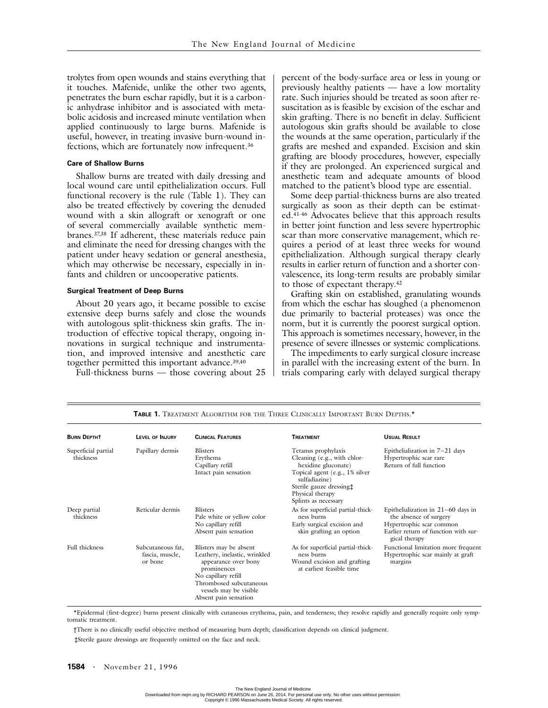trolytes from open wounds and stains everything that it touches. Mafenide, unlike the other two agents, penetrates the burn eschar rapidly, but it is a carbonic anhydrase inhibitor and is associated with metabolic acidosis and increased minute ventilation when applied continuously to large burns. Mafenide is useful, however, in treating invasive burn-wound infections, which are fortunately now infrequent.36

### **Care of Shallow Burns**

Shallow burns are treated with daily dressing and local wound care until epithelialization occurs. Full functional recovery is the rule (Table 1). They can also be treated effectively by covering the denuded wound with a skin allograft or xenograft or one of several commercially available synthetic membranes.37,38 If adherent, these materials reduce pain and eliminate the need for dressing changes with the patient under heavy sedation or general anesthesia, which may otherwise be necessary, especially in infants and children or uncooperative patients.

### **Surgical Treatment of Deep Burns**

About 20 years ago, it became possible to excise extensive deep burns safely and close the wounds with autologous split-thickness skin grafts. The introduction of effective topical therapy, ongoing innovations in surgical technique and instrumentation, and improved intensive and anesthetic care together permitted this important advance.39,40

Full-thickness burns — those covering about 25

percent of the body-surface area or less in young or previously healthy patients — have a low mortality rate. Such injuries should be treated as soon after resuscitation as is feasible by excision of the eschar and skin grafting. There is no benefit in delay. Sufficient autologous skin grafts should be available to close the wounds at the same operation, particularly if the grafts are meshed and expanded. Excision and skin grafting are bloody procedures, however, especially if they are prolonged. An experienced surgical and anesthetic team and adequate amounts of blood matched to the patient's blood type are essential.

Some deep partial-thickness burns are also treated surgically as soon as their depth can be estimated.41-46 Advocates believe that this approach results in better joint function and less severe hypertrophic scar than more conservative management, which requires a period of at least three weeks for wound epithelialization. Although surgical therapy clearly results in earlier return of function and a shorter convalescence, its long-term results are probably similar to those of expectant therapy.42

Grafting skin on established, granulating wounds from which the eschar has sloughed (a phenomenon due primarily to bacterial proteases) was once the norm, but it is currently the poorest surgical option. This approach is sometimes necessary, however, in the presence of severe illnesses or systemic complications.

The impediments to early surgical closure increase in parallel with the increasing extent of the burn. In trials comparing early with delayed surgical therapy

| <b>BURN DEPTHT</b>               | LEVEL OF INJURY                                 | <b>CLINICAL FEATURES</b>                                                                                                                                                                            | <b>TABLE T.</b> IREATMENT ALGORITHM FOR THE THREE CLINICALLY IMPORTANT BURN DEPTHS."<br><b>TREATMENT</b>                                                                                                        | <b>USUAL RESULT</b>                                                                                                                                 |
|----------------------------------|-------------------------------------------------|-----------------------------------------------------------------------------------------------------------------------------------------------------------------------------------------------------|-----------------------------------------------------------------------------------------------------------------------------------------------------------------------------------------------------------------|-----------------------------------------------------------------------------------------------------------------------------------------------------|
| Superficial partial<br>thickness | Papillary dermis                                | <b>Blisters</b><br>Erythema<br>Capillary refill<br>Intact pain sensation                                                                                                                            | Tetanus prophylaxis<br>Cleaning (e.g., with chlor-<br>hexidine gluconate)<br>Topical agent (e.g., 1% silver<br>sulfadiazine)<br>Sterile gauze dressing <sup>+</sup><br>Physical therapy<br>Splints as necessary | Epithelialization in $7-21$ days<br>Hypertrophic scar rare<br>Return of full function                                                               |
| Deep partial<br>thickness        | Reticular dermis                                | <b>Blisters</b><br>Pale white or yellow color<br>No capillary refill<br>Absent pain sensation                                                                                                       | As for superficial partial-thick-<br>ness burns<br>Early surgical excision and<br>skin grafting an option                                                                                                       | Epithelialization in $21-60$ days in<br>the absence of surgery<br>Hypertrophic scar common<br>Earlier return of function with sur-<br>gical therapy |
| Full thickness                   | Subcutaneous fat,<br>fascia, muscle,<br>or bone | Blisters may be absent<br>Leathery, inelastic, wrinkled<br>appearance over bony<br>prominences<br>No capillary refill<br>Thrombosed subcutaneous<br>vessels may be visible<br>Absent pain sensation | As for superficial partial-thick-<br>ness burns<br>Wound excision and grafting<br>at earliest feasible time                                                                                                     | Functional limitation more frequent<br>Hypertrophic scar mainly at graft<br>margins                                                                 |

**TABLE 1.** TREATMENT ALGORITHM FOR THE THREE CLINICALLY IMPORTANT BURN DEPTHS.\*

\*Epidermal (first-degree) burns present clinically with cutaneous erythema, pain, and tenderness; they resolve rapidly and generally require only symptomatic treatment.

†There is no clinically useful objective method of measuring burn depth; classification depends on clinical judgment.

‡Sterile gauze dressings are frequently omitted on the face and neck.

The New England Journal of Medicine<br>Downloaded from nejm.org by RICHARD PEARSON on June 26, 2014. For personal use only. No other uses without permission. Copyright © 1996 Massachusetts Medical Society. All rights reserved.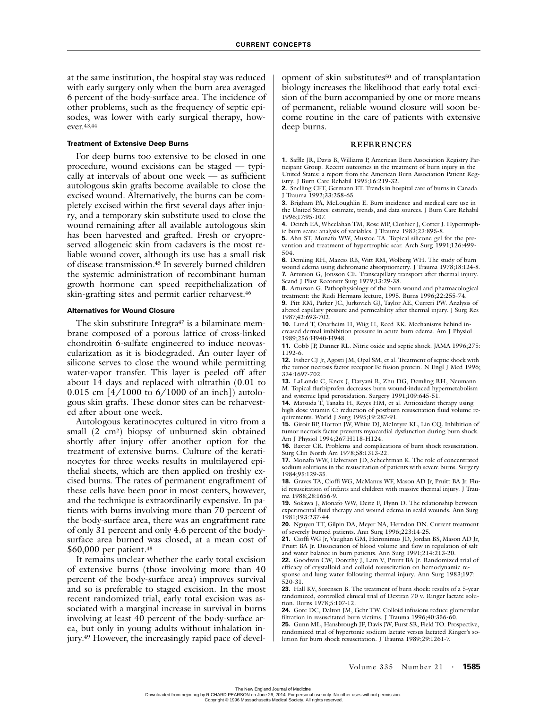at the same institution, the hospital stay was reduced with early surgery only when the burn area averaged 6 percent of the body-surface area. The incidence of other problems, such as the frequency of septic episodes, was lower with early surgical therapy, however.43,44

#### **Treatment of Extensive Deep Burns**

For deep burns too extensive to be closed in one procedure, wound excisions can be staged — typically at intervals of about one week — as sufficient autologous skin grafts become available to close the excised wound. Alternatively, the burns can be completely excised within the first several days after injury, and a temporary skin substitute used to close the wound remaining after all available autologous skin has been harvested and grafted. Fresh or cryopreserved allogeneic skin from cadavers is the most reliable wound cover, although its use has a small risk of disease transmission.45 In severely burned children the systemic administration of recombinant human growth hormone can speed reepithelialization of skin-grafting sites and permit earlier reharvest.46

### **Alternatives for Wound Closure**

The skin substitute Integra<sup>47</sup> is a bilaminate membrane composed of a porous lattice of cross-linked chondroitin 6-sulfate engineered to induce neovascularization as it is biodegraded. An outer layer of silicone serves to close the wound while permitting water-vapor transfer. This layer is peeled off after about 14 days and replaced with ultrathin (0.01 to 0.015 cm [4/1000 to 6/1000 of an inch]) autologous skin grafts. These donor sites can be reharvested after about one week.

Autologous keratinocytes cultured in vitro from a small (2 cm2) biopsy of unburned skin obtained shortly after injury offer another option for the treatment of extensive burns. Culture of the keratinocytes for three weeks results in multilayered epithelial sheets, which are then applied on freshly excised burns. The rates of permanent engraftment of these cells have been poor in most centers, however, and the technique is extraordinarily expensive. In patients with burns involving more than 70 percent of the body-surface area, there was an engraftment rate of only 31 percent and only 4.6 percent of the bodysurface area burned was closed, at a mean cost of \$60,000 per patient.48

It remains unclear whether the early total excision of extensive burns (those involving more than 40 percent of the body-surface area) improves survival and so is preferable to staged excision. In the most recent randomized trial, early total excision was associated with a marginal increase in survival in burns involving at least 40 percent of the body-surface area, but only in young adults without inhalation injury.49 However, the increasingly rapid pace of development of skin substitutes<sup>50</sup> and of transplantation biology increases the likelihood that early total excision of the burn accompanied by one or more means of permanent, reliable wound closure will soon become routine in the care of patients with extensive deep burns.

#### **REFERENCES**

**1.** Saffle JR, Davis B, Williams P, American Burn Association Registry Participant Group. Recent outcomes in the treatment of burn injury in the United States: a report from the American Burn Association Patient Registry. J Burn Care Rehabil 1995;16:219-32.

**2.** Snelling CFT, Germann ET. Trends in hospital care of burns in Canada. J Trauma 1992;33:258-65.

**3.** Brigham PA, McLoughlin E. Burn incidence and medical care use in the United States: estimate, trends, and data sources. J Burn Care Rehabil 1996;17:95-107.

**4.** Deitch EA, Wheelahan TM, Rose MP, Clothier J, Cotter J. Hypertrophic burn scars: analysis of variables. J Trauma 1983;23:895-8.

**5.** Ahn ST, Monafo WW, Mustoe TA. Topical silicone gel for the prevention and treatment of hypertrophic scar. Arch Surg 1991;126:499- 504.

**6.** Demling RH, Mazess RB, Witt RM, Wolberg WH. The study of burn wound edema using dichromatic absorptiometry. J Trauma 1978;18:124-8. **7.** Arturson G, Jonsson CE. Transcapillary transport after thermal injury. Scand J Plast Reconstr Surg 1979;13:29-38.

**8.** Arturson G. Pathophysiology of the burn wound and pharmacological treatment: the Rudi Hermans lecture, 1995. Burns 1996;22:255-74. **9.** Pitt RM, Parker JC, Jurkovich GJ, Taylor AE, Curreri PW. Analysis of

altered capillary pressure and permeability after thermal injury. J Surg Res 1987;42:693-702.

**10.** Lund T, Onarheim H, Wiig H, Reed RK. Mechanisms behind increased dermal imbibition pressure in acute burn edema. Am J Physiol 1989;256:H940-H948.

**11.** Cobb JP, Danner RL. Nitric oxide and septic shock. JAMA 1996;275: 1192-6.

**12.** Fisher CJ Jr, Agosti JM, Opal SM, et al. Treatment of septic shock with the tumor necrosis factor receptor:Fc fusion protein. N Engl J Med 1996; 334:1697-702.

**13.** LaLonde C, Knox J, Daryani R, Zhu DG, Demling RH, Neumann M. Topical flurbiprofen decreases burn wound-induced hypermetabolism and systemic lipid peroxidation. Surgery 1991;109:645-51.

**14.** Matsuda T, Tanaka H, Reyes HM, et al. Antioxidant therapy using high dose vitamin C: reduction of postburn resuscitation fluid volume requirements. World J Surg 1995;19:287-91.

**15.** Giroir BP, Horton JW, White DJ, McIntyre KL, Lin CQ. Inhibition of tumor necrosis factor prevents myocardial dysfunction during burn shock. Am J Physiol 1994;267:H118-H124.

**16.** Baxter CR. Problems and complications of burn shock resuscitation. Surg Clin North Am 1978;58:1313-22.

**17.** Monafo WW, Halverson JD, Schechtman K. The role of concentrated sodium solutions in the resuscitation of patients with severe burns. Surgery 1984;95:129-35.

**18.** Graves TA, Cioffi WG, McManus WF, Mason AD Jr, Pruitt BA Jr. Fluid resuscitation of infants and children with massive thermal injury. J Trauma 1988;28:1656-9.

**19.** Sokawa J, Monafo WW, Deitz F, Flynn D. The relationship between experimental fluid therapy and wound edema in scald wounds. Ann Surg 1981;193:237-44.

**20.** Nguyen TT, Gilpin DA, Meyer NA, Herndon DN. Current treatment of severely burned patients. Ann Surg 1996;223:14-25.

**21.** Cioffi WG Jr, Vaughan GM, Heironimus JD, Jordan BS, Mason AD Jr, Pruitt BA Jr. Dissociation of blood volume and flow in regulation of salt and water balance in burn patients. Ann Surg 1991;214:213-20.

**22.** Goodwin CW, Dorethy J, Lam V, Pruitt BA Jr. Randomized trial of efficacy of crystalloid and colloid resuscitation on hemodynamic response and lung water following thermal injury. Ann Surg 1983;197: 520-31.

**23.** Hall KV, Sorensen B. The treatment of burn shock: results of a 5-year randomized, controlled clinical trial of Dextran 70 v. Ringer lactate solution. Burns 1978;5:107-12.

**24.** Gore DC, Dalton JM, Gehr TW. Colloid infusions reduce glomerular filtration in resuscitated burn victims. J Trauma 1996;40:356-60.

**25.** Gunn ML, Hansbrough JF, Davis JW, Furst SR, Field TO. Prospective, randomized trial of hypertonic sodium lactate versus lactated Ringer's solution for burn shock resuscitation. J Trauma 1989;29:1261-7.